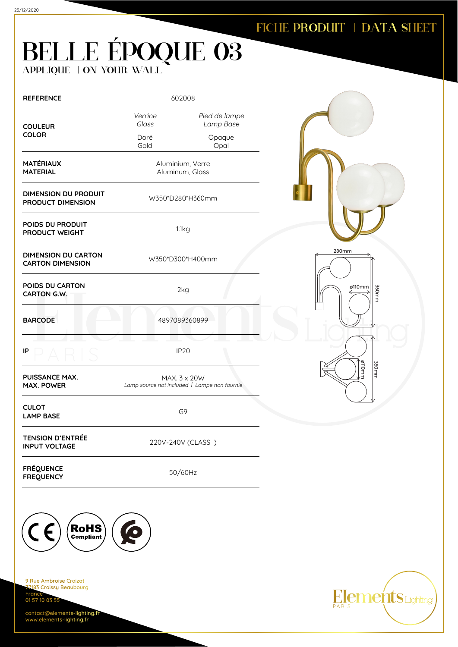280mm

360mm

ø110mm

350mm

**Elements** Lighting

ø110mm

## BELLE ÉPOQUE 03 APPLIQUE | ON YOUR WALL

| <b>REFERENCE</b>                                      | 602008                                                       |                            |  |
|-------------------------------------------------------|--------------------------------------------------------------|----------------------------|--|
| <b>COULEUR</b>                                        | Verrine<br>Glass                                             | Pied de lampe<br>Lamp Base |  |
| <b>COLOR</b>                                          | Doré<br>Gold                                                 | Opaque<br>Opal             |  |
| <b>MATÉRIAUX</b><br><b>MATERIAL</b>                   | Aluminium, Verre<br>Aluminum, Glass                          |                            |  |
| DIMENSION DU PRODUIT<br><b>PRODUCT DIMENSION</b>      | W350*D280*H360mm                                             |                            |  |
| POIDS DU PRODUIT<br>PRODUCT WEIGHT                    | 1.1kg                                                        |                            |  |
| <b>DIMENSION DU CARTON</b><br><b>CARTON DIMENSION</b> | W350*D300*H400mm                                             |                            |  |
| POIDS DU CARTON<br>CARTON G.W.                        | 2kg                                                          |                            |  |
| <b>BARCODE</b>                                        | 4897089360899                                                |                            |  |
| IP                                                    | <b>IP20</b>                                                  |                            |  |
| <b>PUISSANCE MAX.</b><br><b>MAX. POWER</b>            | MAX. 3 x 20W<br>Lamp source not included   Lampe non fournie |                            |  |
| <b>CULOT</b><br><b>LAMP BASE</b>                      | G9                                                           |                            |  |
| <b>TENSION D'ENTRÉE</b><br><b>INPUT VOLTAGE</b>       | 220V-240V (CLASS I)                                          |                            |  |
| <b>FRÉQUENCE</b><br><b>FREQUENCY</b>                  | 50/60Hz                                                      |                            |  |



9 Rue Ambroise Croizat 183 Croissy Beaubourg Fran 01 57 10 03 55

contact@elements-lighting.fr www.elements-lighting.fr